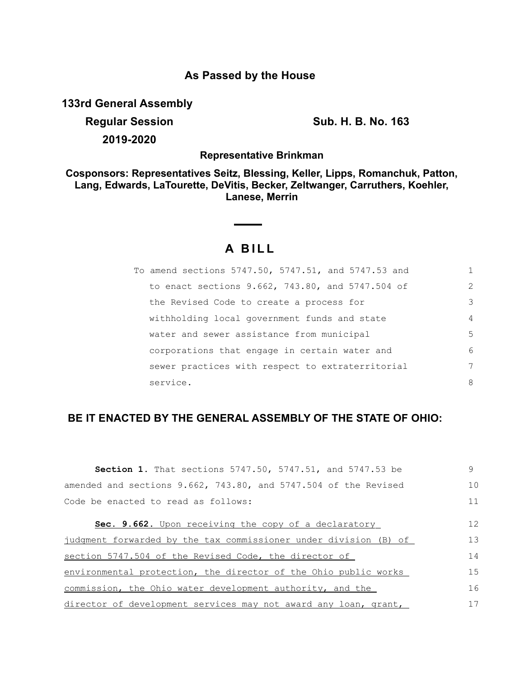### **As Passed by the House**

**133rd General Assembly**

**Regular Session Sub. H. B. No. 163 2019-2020**

**Representative Brinkman**

**Cosponsors: Representatives Seitz, Blessing, Keller, Lipps, Romanchuk, Patton, Lang, Edwards, LaTourette, DeVitis, Becker, Zeltwanger, Carruthers, Koehler, Lanese, Merrin**

# **A B I L L**

| To amend sections 5747.50, 5747.51, and 5747.53 and | 1              |
|-----------------------------------------------------|----------------|
| to enact sections 9.662, 743.80, and 5747.504 of    | $\mathcal{L}$  |
| the Revised Code to create a process for            | 3              |
| withholding local government funds and state        | $\overline{4}$ |
| water and sewer assistance from municipal           | 5              |
| corporations that engage in certain water and       | 6              |
| sewer practices with respect to extraterritorial    | 7              |
| service.                                            | 8              |

## **BE IT ENACTED BY THE GENERAL ASSEMBLY OF THE STATE OF OHIO:**

| <b>Section 1.</b> That sections 5747.50, 5747.51, and 5747.53 be | 9  |
|------------------------------------------------------------------|----|
| amended and sections 9.662, 743.80, and 5747.504 of the Revised  | 10 |
| Code be enacted to read as follows:                              | 11 |
| Sec. 9.662. Upon receiving the copy of a declaratory             | 12 |
| judgment forwarded by the tax commissioner under division (B) of | 13 |
| section 5747.504 of the Revised Code, the director of            | 14 |
| environmental protection, the director of the Ohio public works  |    |
| commission, the Ohio water development authority, and the        |    |
| director of development services may not award any loan, grant,  | 17 |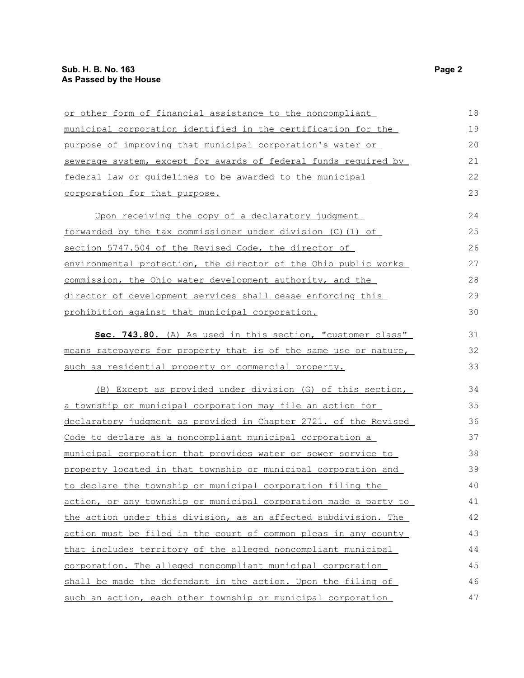| or other form of financial assistance to the noncompliant        | 18 |
|------------------------------------------------------------------|----|
| municipal corporation identified in the certification for the    | 19 |
| purpose of improving that municipal corporation's water or       | 20 |
| sewerage system, except for awards of federal funds required by  | 21 |
| federal law or quidelines to be awarded to the municipal         | 22 |
| corporation for that purpose.                                    | 23 |
| Upon receiving the copy of a declaratory judgment                | 24 |
| forwarded by the tax commissioner under division (C) (1) of      | 25 |
| section 5747.504 of the Revised Code, the director of            | 26 |
| environmental protection, the director of the Ohio public works  | 27 |
| commission, the Ohio water development authority, and the        | 28 |
| director of development services shall cease enforcing this      | 29 |
| prohibition against that municipal corporation.                  | 30 |
| Sec. 743.80. (A) As used in this section, "customer class"       | 31 |
| means ratepayers for property that is of the same use or nature, | 32 |
| such as residential property or commercial property.             | 33 |
| (B) Except as provided under division (G) of this section,       | 34 |
| a township or municipal corporation may file an action for       | 35 |
| declaratory judgment as provided in Chapter 2721. of the Revised | 36 |
| Code to declare as a noncompliant municipal corporation a        | 37 |
| municipal corporation that provides water or sewer service to    | 38 |
| property located in that township or municipal corporation and   | 39 |
| to declare the township or municipal corporation filing the      | 40 |
| action, or any township or municipal corporation made a party to | 41 |
| the action under this division, as an affected subdivision. The  | 42 |
| action must be filed in the court of common pleas in any county  | 43 |
| that includes territory of the alleged noncompliant municipal    | 44 |
| corporation. The alleged noncompliant municipal corporation      | 45 |
| shall be made the defendant in the action. Upon the filing of    | 46 |
| such an action, each other township or municipal corporation     | 47 |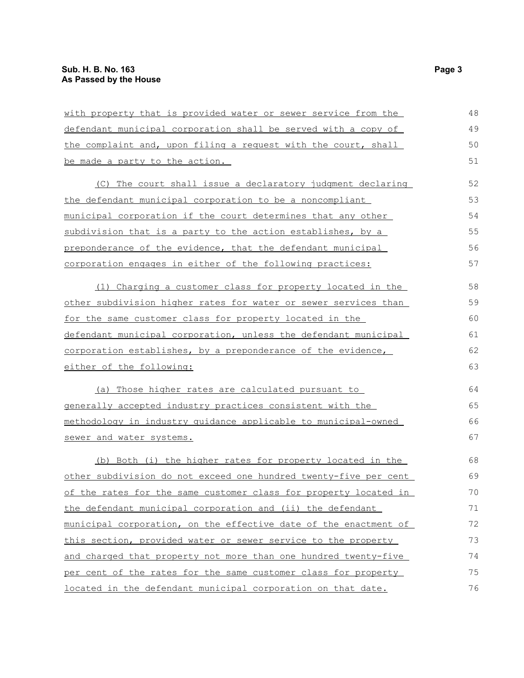| <u>with property that is provided water or sewer service from the</u> | 48 |
|-----------------------------------------------------------------------|----|
| defendant municipal corporation shall be served with a copy of        | 49 |
| the complaint and, upon filing a request with the court, shall        | 50 |
| be made a party to the action.                                        | 51 |
| (C) The court shall issue a declaratory judgment declaring            | 52 |
| the defendant municipal corporation to be a noncompliant              | 53 |
| municipal corporation if the court determines that any other          | 54 |
| subdivision that is a party to the action establishes, by a           | 55 |
| preponderance of the evidence, that the defendant municipal           | 56 |
| corporation engages in either of the following practices:             | 57 |
| (1) Charging a customer class for property located in the             | 58 |
| other subdivision higher rates for water or sewer services than       | 59 |
| for the same customer class for property located in the               | 60 |
| defendant municipal corporation, unless the defendant municipal       | 61 |
| corporation establishes, by a preponderance of the evidence,          | 62 |
| either of the following:                                              | 63 |
| (a) Those higher rates are calculated pursuant to                     | 64 |
| generally accepted industry practices consistent with the             | 65 |
| methodology in industry quidance applicable to municipal-owned        | 66 |
| sewer and water systems.                                              | 67 |
| (b) Both (i) the higher rates for property located in the             | 68 |
| other subdivision do not exceed one hundred twenty-five per cent      | 69 |
| of the rates for the same customer class for property located in      | 70 |
| the defendant municipal corporation and (ii) the defendant            | 71 |
| municipal corporation, on the effective date of the enactment of      | 72 |
| this section, provided water or sewer service to the property         | 73 |
| and charged that property not more than one hundred twenty-five       | 74 |
| per cent of the rates for the same customer class for property        | 75 |
| located in the defendant municipal corporation on that date.          | 76 |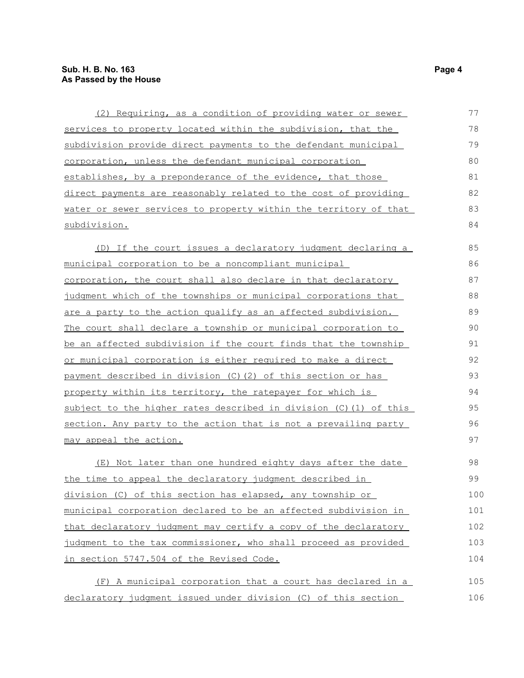| (2) Requiring, as a condition of providing water or sewer         | 77  |
|-------------------------------------------------------------------|-----|
| services to property located within the subdivision, that the     | 78  |
| subdivision provide direct payments to the defendant municipal    | 79  |
| corporation, unless the defendant municipal corporation           | 80  |
| establishes, by a preponderance of the evidence, that those       | 81  |
| direct payments are reasonably related to the cost of providing   | 82  |
| water or sewer services to property within the territory of that  | 83  |
| subdivision.                                                      | 84  |
| (D) If the court issues a declaratory judgment declaring a        | 85  |
| municipal corporation to be a noncompliant municipal              | 86  |
| corporation, the court shall also declare in that declaratory     | 87  |
| judgment which of the townships or municipal corporations that    | 88  |
| are a party to the action qualify as an affected subdivision.     | 89  |
| The court shall declare a township or municipal corporation to    | 90  |
| be an affected subdivision if the court finds that the township   | 91  |
| or municipal corporation is either required to make a direct      | 92  |
| payment described in division (C) (2) of this section or has      | 93  |
| property within its territory, the ratepayer for which is         | 94  |
| subject to the higher rates described in division (C) (1) of this | 95  |
| section. Any party to the action that is not a prevailing party   | 96  |
| <u>may appeal the action.</u>                                     | 97  |
| (E) Not later than one hundred eighty days after the date         | 98  |
| the time to appeal the declaratory judgment described in          | 99  |
| division (C) of this section has elapsed, any township or         | 100 |
| municipal corporation declared to be an affected subdivision in   | 101 |
| that declaratory judgment may certify a copy of the declaratory   | 102 |
| judgment to the tax commissioner, who shall proceed as provided   | 103 |
| in section 5747.504 of the Revised Code.                          | 104 |
| (F) A municipal corporation that a court has declared in a        | 105 |
| declaratory judgment issued under division (C) of this section    | 106 |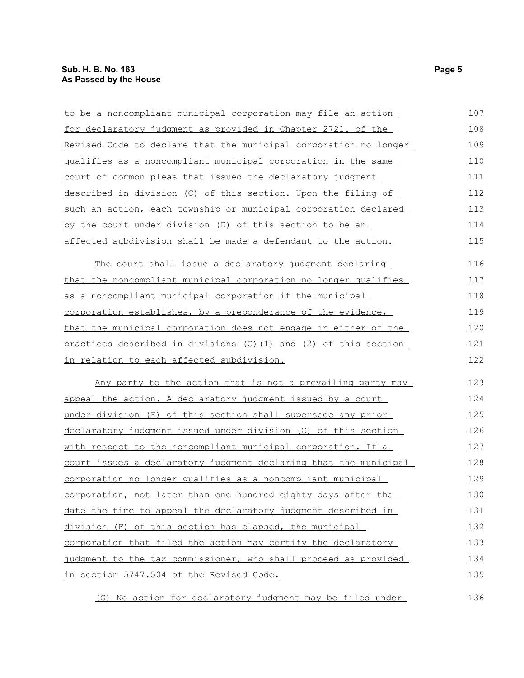| to be a noncompliant municipal corporation may file an action      | 107 |
|--------------------------------------------------------------------|-----|
| for declaratory judgment as provided in Chapter 2721. of the       | 108 |
| Revised Code to declare that the municipal corporation no longer   | 109 |
| qualifies as a noncompliant municipal corporation in the same      | 110 |
| court of common pleas that issued the declaratory judgment         | 111 |
| described in division (C) of this section. Upon the filing of      | 112 |
| such an action, each township or municipal corporation declared    | 113 |
| by the court under division (D) of this section to be an           | 114 |
| affected subdivision shall be made a defendant to the action.      | 115 |
| The court shall issue a declaratory judgment declaring             | 116 |
| that the noncompliant municipal corporation no longer qualifies    | 117 |
| as a noncompliant municipal corporation if the municipal           | 118 |
| corporation establishes, by a preponderance of the evidence,       | 119 |
| that the municipal corporation does not engage in either of the    |     |
| practices described in divisions $(C)$ (1) and (2) of this section |     |
| in relation to each affected subdivision.                          | 122 |
| Any party to the action that is not a prevailing party may         | 123 |
| appeal the action. A declaratory judgment issued by a court        | 124 |
| under division (F) of this section shall supersede any prior       | 125 |
| declaratory judgment issued under division (C) of this section     | 126 |
| with respect to the noncompliant municipal corporation. If a       | 127 |
| court issues a declaratory judgment declaring that the municipal   | 128 |
| corporation no longer qualifies as a noncompliant municipal        | 129 |
| corporation, not later than one hundred eighty days after the      | 130 |
| date the time to appeal the declaratory judgment described in      | 131 |
| division (F) of this section has elapsed, the municipal            | 132 |
| corporation that filed the action may certify the declaratory      | 133 |
| judgment to the tax commissioner, who shall proceed as provided    | 134 |
| in section 5747.504 of the Revised Code.                           | 135 |
| (G) No action for declaratory judgment may be filed under          | 136 |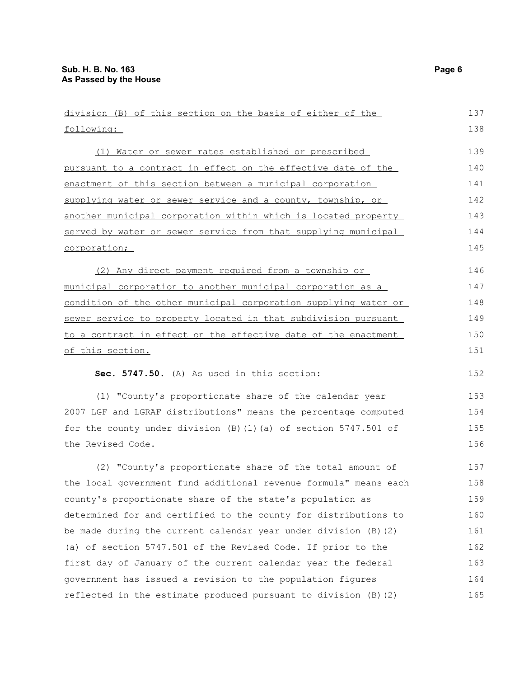following: (1) Water or sewer rates established or prescribed pursuant to a contract in effect on the effective date of the enactment of this section between a municipal corporation supplying water or sewer service and a county, township, or another municipal corporation within which is located property served by water or sewer service from that supplying municipal corporation; (2) Any direct payment required from a township or municipal corporation to another municipal corporation as a condition of the other municipal corporation supplying water or sewer service to property located in that subdivision pursuant to a contract in effect on the effective date of the enactment of this section. **Sec. 5747.50.** (A) As used in this section: (1) "County's proportionate share of the calendar year 2007 LGF and LGRAF distributions" means the percentage computed for the county under division (B)(1)(a) of section 5747.501 of the Revised Code. (2) "County's proportionate share of the total amount of the local government fund additional revenue formula" means each county's proportionate share of the state's population as determined for and certified to the county for distributions to be made during the current calendar year under division (B)(2) (a) of section 5747.501 of the Revised Code. If prior to the first day of January of the current calendar year the federal government has issued a revision to the population figures reflected in the estimate produced pursuant to division (B)(2) 138 139 140 141 142 143 144 145 146 147 148 149 150 151 152 153 154 155 156 157 158 159 160 161 162 163 164 165

division (B) of this section on the basis of either of the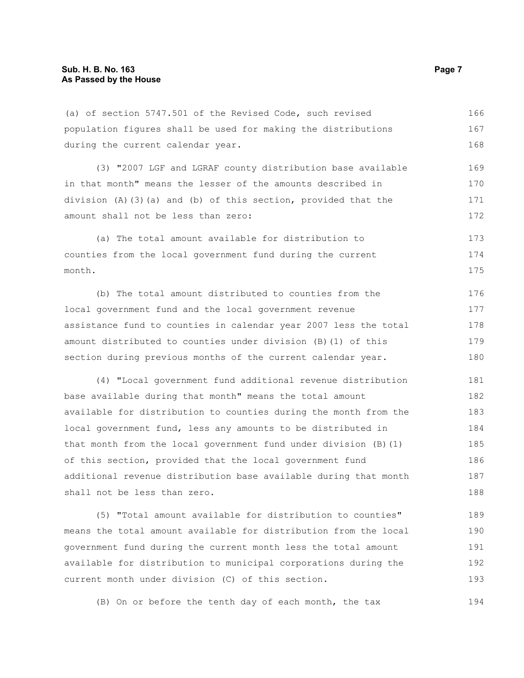(a) of section 5747.501 of the Revised Code, such revised population figures shall be used for making the distributions during the current calendar year. 166 167 168

(3) "2007 LGF and LGRAF county distribution base available in that month" means the lesser of the amounts described in division (A)(3)(a) and (b) of this section, provided that the amount shall not be less than zero: 169 170 171 172

(a) The total amount available for distribution to counties from the local government fund during the current month. 173 174 175

(b) The total amount distributed to counties from the local government fund and the local government revenue assistance fund to counties in calendar year 2007 less the total amount distributed to counties under division (B)(1) of this section during previous months of the current calendar year. 176 177 178 179 180

(4) "Local government fund additional revenue distribution base available during that month" means the total amount available for distribution to counties during the month from the local government fund, less any amounts to be distributed in that month from the local government fund under division (B)(1) of this section, provided that the local government fund additional revenue distribution base available during that month shall not be less than zero. 181 182 183 184 185 186 187 188

(5) "Total amount available for distribution to counties" means the total amount available for distribution from the local government fund during the current month less the total amount available for distribution to municipal corporations during the current month under division (C) of this section. 189 190 191 192 193

(B) On or before the tenth day of each month, the tax 194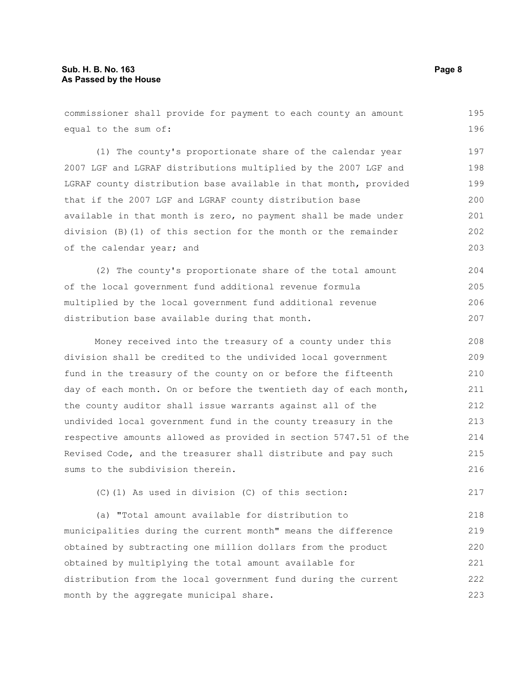commissioner shall provide for payment to each county an amount equal to the sum of: (1) The county's proportionate share of the calendar year 2007 LGF and LGRAF distributions multiplied by the 2007 LGF and LGRAF county distribution base available in that month, provided that if the 2007 LGF and LGRAF county distribution base available in that month is zero, no payment shall be made under division (B)(1) of this section for the month or the remainder of the calendar year; and (2) The county's proportionate share of the total amount of the local government fund additional revenue formula multiplied by the local government fund additional revenue distribution base available during that month. Money received into the treasury of a county under this division shall be credited to the undivided local government fund in the treasury of the county on or before the fifteenth day of each month. On or before the twentieth day of each month, the county auditor shall issue warrants against all of the undivided local government fund in the county treasury in the respective amounts allowed as provided in section 5747.51 of the Revised Code, and the treasurer shall distribute and pay such sums to the subdivision therein. (C)(1) As used in division (C) of this section: 195 196 197 198 199 200 201 202 203 204 205 206 207 208 209 210 211 212 213 214 215 216 217

(a) "Total amount available for distribution to municipalities during the current month" means the difference obtained by subtracting one million dollars from the product obtained by multiplying the total amount available for distribution from the local government fund during the current month by the aggregate municipal share. 218 219 220 221 222 223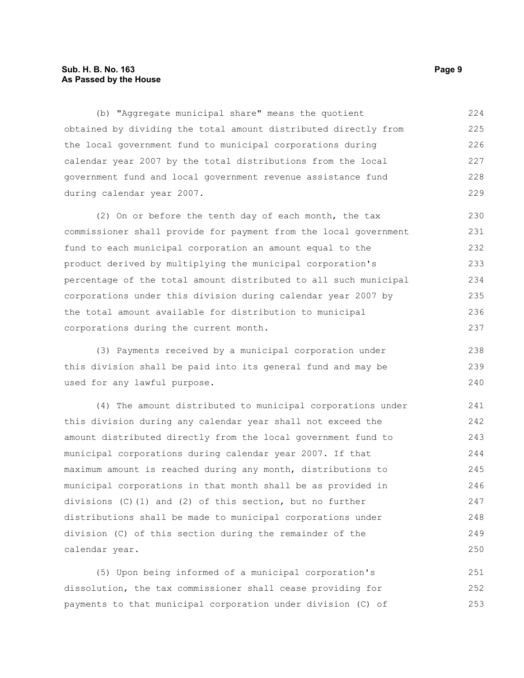#### **Sub. H. B. No. 163 Page 9 As Passed by the House**

(b) "Aggregate municipal share" means the quotient obtained by dividing the total amount distributed directly from the local government fund to municipal corporations during calendar year 2007 by the total distributions from the local government fund and local government revenue assistance fund during calendar year 2007. 224 225 226 227 228 229

(2) On or before the tenth day of each month, the tax commissioner shall provide for payment from the local government fund to each municipal corporation an amount equal to the product derived by multiplying the municipal corporation's percentage of the total amount distributed to all such municipal corporations under this division during calendar year 2007 by the total amount available for distribution to municipal corporations during the current month. 230 231 232 233 234 235 236 237

(3) Payments received by a municipal corporation under this division shall be paid into its general fund and may be used for any lawful purpose.

(4) The amount distributed to municipal corporations under this division during any calendar year shall not exceed the amount distributed directly from the local government fund to municipal corporations during calendar year 2007. If that maximum amount is reached during any month, distributions to municipal corporations in that month shall be as provided in divisions  $(C)$  (1) and (2) of this section, but no further distributions shall be made to municipal corporations under division (C) of this section during the remainder of the calendar year.

(5) Upon being informed of a municipal corporation's dissolution, the tax commissioner shall cease providing for payments to that municipal corporation under division (C) of 251 252 253

238 239 240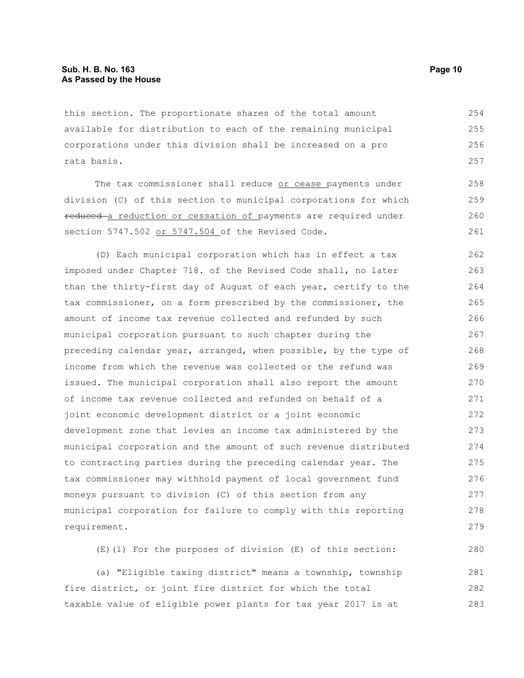this section. The proportionate shares of the total amount available for distribution to each of the remaining municipal corporations under this division shall be increased on a pro rata basis. 254 255 256 257

The tax commissioner shall reduce or cease payments under division (C) of this section to municipal corporations for which reduced a reduction or cessation of payments are required under section 5747.502 or 5747.504 of the Revised Code. 258 259 260 261

(D) Each municipal corporation which has in effect a tax imposed under Chapter 718. of the Revised Code shall, no later than the thirty-first day of August of each year, certify to the tax commissioner, on a form prescribed by the commissioner, the amount of income tax revenue collected and refunded by such municipal corporation pursuant to such chapter during the preceding calendar year, arranged, when possible, by the type of income from which the revenue was collected or the refund was issued. The municipal corporation shall also report the amount of income tax revenue collected and refunded on behalf of a joint economic development district or a joint economic development zone that levies an income tax administered by the municipal corporation and the amount of such revenue distributed to contracting parties during the preceding calendar year. The tax commissioner may withhold payment of local government fund moneys pursuant to division (C) of this section from any municipal corporation for failure to comply with this reporting requirement. 262 263 264 265 266 267 268 269 270 271 272 273 274 275 276 277 278 279

(E)(1) For the purposes of division (E) of this section:

(a) "Eligible taxing district" means a township, township fire district, or joint fire district for which the total taxable value of eligible power plants for tax year 2017 is at 281 282 283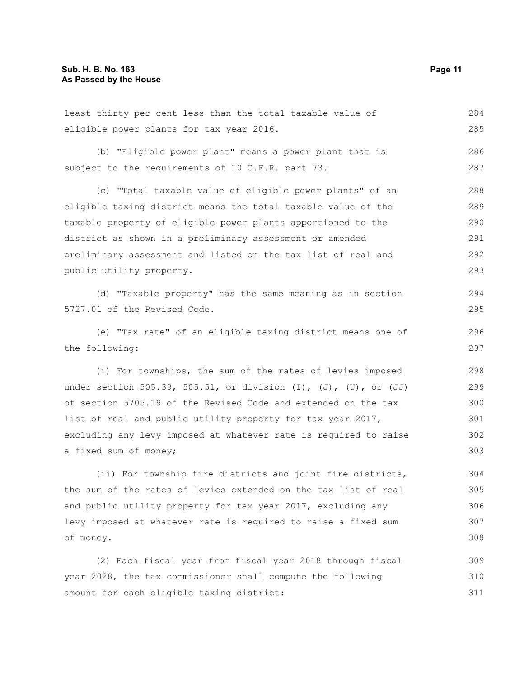least thirty per cent less than the total taxable value of eligible power plants for tax year 2016. 284 285

(b) "Eligible power plant" means a power plant that is subject to the requirements of 10 C.F.R. part 73.

(c) "Total taxable value of eligible power plants" of an eligible taxing district means the total taxable value of the taxable property of eligible power plants apportioned to the district as shown in a preliminary assessment or amended preliminary assessment and listed on the tax list of real and public utility property. 288 289 290 291 292 293

(d) "Taxable property" has the same meaning as in section 5727.01 of the Revised Code.

(e) "Tax rate" of an eligible taxing district means one of the following:

(i) For townships, the sum of the rates of levies imposed under section 505.39, 505.51, or division  $(I)$ ,  $(J)$ ,  $(U)$ , or  $(JJ)$ of section 5705.19 of the Revised Code and extended on the tax list of real and public utility property for tax year 2017, excluding any levy imposed at whatever rate is required to raise a fixed sum of money;

(ii) For township fire districts and joint fire districts, the sum of the rates of levies extended on the tax list of real and public utility property for tax year 2017, excluding any levy imposed at whatever rate is required to raise a fixed sum of money. 304 305 306 307 308

(2) Each fiscal year from fiscal year 2018 through fiscal year 2028, the tax commissioner shall compute the following amount for each eligible taxing district: 309 310 311

286 287

294 295

296 297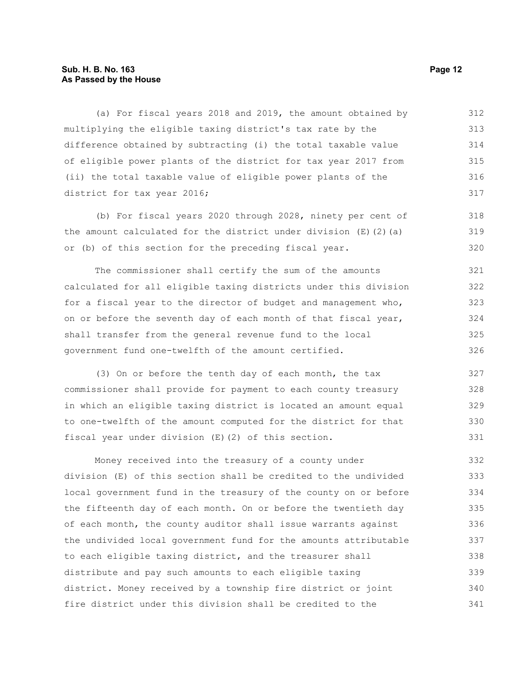#### **Sub. H. B. No. 163 Page 12 As Passed by the House**

(a) For fiscal years 2018 and 2019, the amount obtained by multiplying the eligible taxing district's tax rate by the difference obtained by subtracting (i) the total taxable value of eligible power plants of the district for tax year 2017 from (ii) the total taxable value of eligible power plants of the district for tax year 2016; 312 313 314 315 316 317

(b) For fiscal years 2020 through 2028, ninety per cent of the amount calculated for the district under division  $(E)(2)(a)$ or (b) of this section for the preceding fiscal year. 318 319 320

The commissioner shall certify the sum of the amounts calculated for all eligible taxing districts under this division for a fiscal year to the director of budget and management who, on or before the seventh day of each month of that fiscal year, shall transfer from the general revenue fund to the local government fund one-twelfth of the amount certified. 321 322 323 324 325 326

(3) On or before the tenth day of each month, the tax commissioner shall provide for payment to each county treasury in which an eligible taxing district is located an amount equal to one-twelfth of the amount computed for the district for that fiscal year under division (E)(2) of this section. 327 328 329 330 331

Money received into the treasury of a county under division (E) of this section shall be credited to the undivided local government fund in the treasury of the county on or before the fifteenth day of each month. On or before the twentieth day of each month, the county auditor shall issue warrants against the undivided local government fund for the amounts attributable to each eligible taxing district, and the treasurer shall distribute and pay such amounts to each eligible taxing district. Money received by a township fire district or joint fire district under this division shall be credited to the 332 333 334 335 336 337 338 339 340 341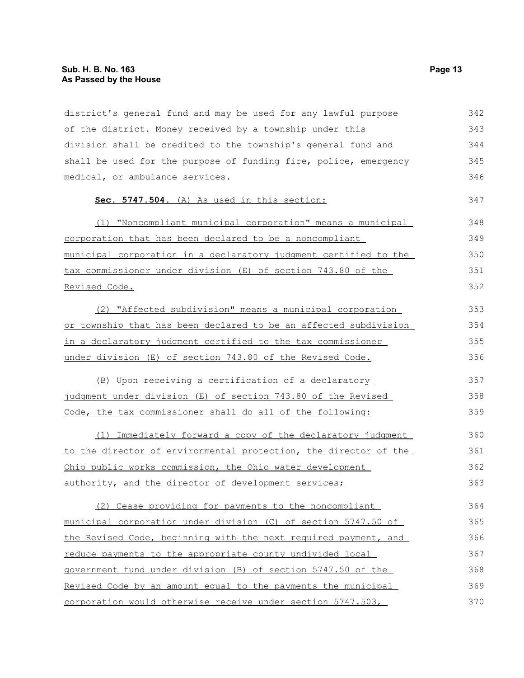district's general fund and may be used for any lawful purpose of the district. Money received by a township under this division shall be credited to the township's general fund and shall be used for the purpose of funding fire, police, emergency medical, or ambulance services. **Sec. 5747.504.** (A) As used in this section: (1) "Noncompliant municipal corporation" means a municipal corporation that has been declared to be a noncompliant municipal corporation in a declaratory judgment certified to the tax commissioner under division (E) of section 743.80 of the Revised Code. (2) "Affected subdivision" means a municipal corporation or township that has been declared to be an affected subdivision in a declaratory judgment certified to the tax commissioner under division (E) of section 743.80 of the Revised Code. (B) Upon receiving a certification of a declaratory judgment under division (E) of section 743.80 of the Revised Code, the tax commissioner shall do all of the following: (1) Immediately forward a copy of the declaratory judgment to the director of environmental protection, the director of the Ohio public works commission, the Ohio water development authority, and the director of development services; (2) Cease providing for payments to the noncompliant municipal corporation under division (C) of section 5747.50 of the Revised Code, beginning with the next required payment, and reduce payments to the appropriate county undivided local government fund under division (B) of section 5747.50 of the Revised Code by an amount equal to the payments the municipal corporation would otherwise receive under section 5747.503, 342 343 344 345 346 347 348 349 350 351 352 353 354 355 356 357 358 359 360 361 362 363 364 365 366 367 368 369 370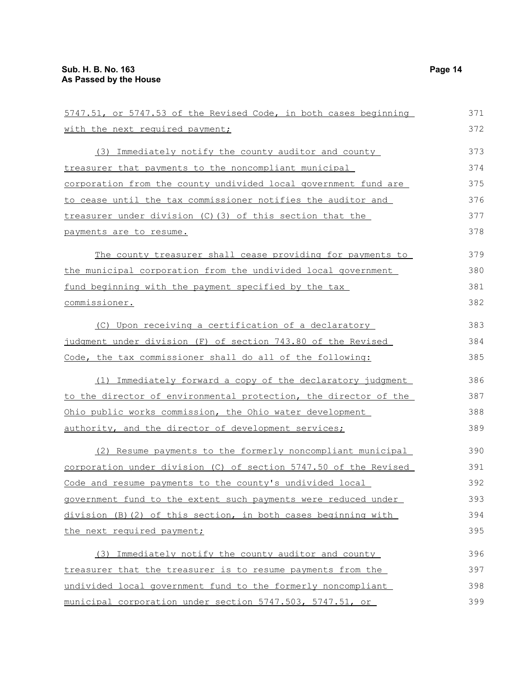| 5747.51, or 5747.53 of the Revised Code, in both cases beginning | 371 |
|------------------------------------------------------------------|-----|
| with the next required payment;                                  | 372 |
| (3) Immediately notify the county auditor and county             | 373 |
| treasurer that payments to the noncompliant municipal            | 374 |
| corporation from the county undivided local government fund are  | 375 |
| to cease until the tax commissioner notifies the auditor and     | 376 |
| treasurer under division (C)(3) of this section that the         | 377 |
| payments are to resume.                                          | 378 |
| The county treasurer shall cease providing for payments to       | 379 |
| the municipal corporation from the undivided local government    | 380 |
| fund beginning with the payment specified by the tax             | 381 |
| commissioner.                                                    | 382 |
| (C) Upon receiving a certification of a declaratory              | 383 |
| judgment under division (F) of section 743.80 of the Revised     | 384 |
| Code, the tax commissioner shall do all of the following:        | 385 |
| (1) Immediately forward a copy of the declaratory judgment       | 386 |
| to the director of environmental protection, the director of the | 387 |
| Ohio public works commission, the Ohio water development         | 388 |
| authority, and the director of development services;             | 389 |
| (2) Resume payments to the formerly noncompliant municipal       | 390 |
| corporation under division (C) of section 5747.50 of the Revised | 391 |
| Code and resume payments to the county's undivided local         | 392 |
| government fund to the extent such payments were reduced under   | 393 |
| division (B) (2) of this section, in both cases beginning with   | 394 |
| the next required payment;                                       | 395 |
| Immediately notify the county auditor and county<br>(3)          | 396 |
| treasurer that the treasurer is to resume payments from the      | 397 |
|                                                                  | 200 |

undivided local government fund to the formerly noncompliant municipal corporation under section 5747.503, 5747.51, or 398 399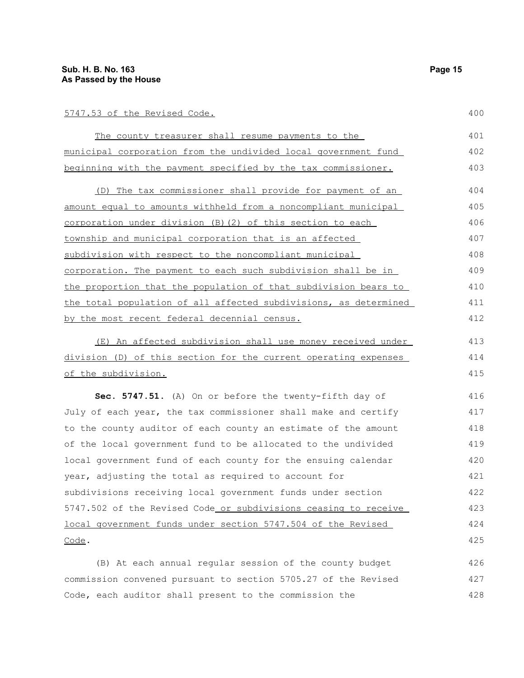400

| The county treasurer shall resume payments to the                | 401 |
|------------------------------------------------------------------|-----|
| municipal corporation from the undivided local government fund   | 402 |
| beginning with the payment specified by the tax commissioner.    | 403 |
| (D) The tax commissioner shall provide for payment of an         | 404 |
| amount equal to amounts withheld from a noncompliant municipal   | 405 |
| corporation under division (B) (2) of this section to each       | 406 |
| township and municipal corporation that is an affected           | 407 |
| subdivision with respect to the noncompliant municipal           | 408 |
| corporation. The payment to each such subdivision shall be in    | 409 |
| the proportion that the population of that subdivision bears to  | 410 |
| the total population of all affected subdivisions, as determined | 411 |
| by the most recent federal decennial census.                     | 412 |
| (E) An affected subdivision shall use money received under       | 413 |
| division (D) of this section for the current operating expenses  | 414 |
| of the subdivision.                                              | 415 |
| Sec. 5747.51. (A) On or before the twenty-fifth day of           | 416 |
| July of each year, the tax commissioner shall make and certify   | 417 |
| to the county auditor of each county an estimate of the amount   | 418 |
| of the local government fund to be allocated to the undivided    | 419 |
| local government fund of each county for the ensuing calendar    | 420 |
| year, adjusting the total as required to account for             | 421 |
| subdivisions receiving local government funds under section      | 422 |
| 5747.502 of the Revised Code or subdivisions ceasing to receive  | 423 |
| local government funds under section 5747.504 of the Revised     | 424 |
| Code.                                                            | 425 |
| (B) At each annual reqular session of the county budget          | 426 |

commission convened pursuant to section 5705.27 of the Revised Code, each auditor shall present to the commission the 427 428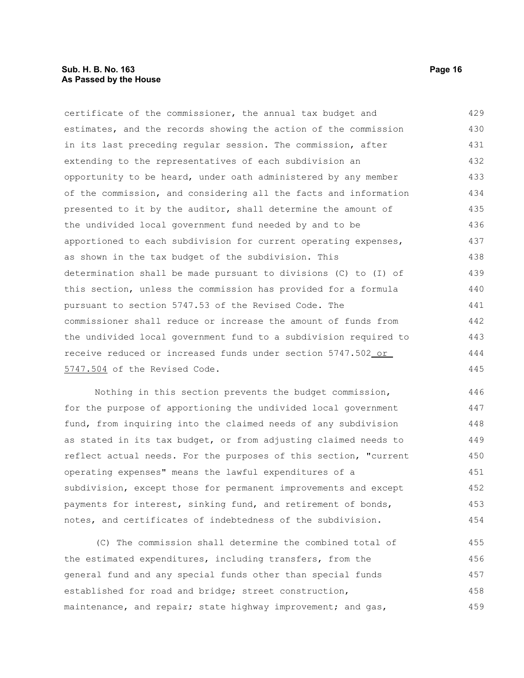#### **Sub. H. B. No. 163 Page 16 As Passed by the House**

certificate of the commissioner, the annual tax budget and estimates, and the records showing the action of the commission in its last preceding regular session. The commission, after extending to the representatives of each subdivision an opportunity to be heard, under oath administered by any member of the commission, and considering all the facts and information presented to it by the auditor, shall determine the amount of the undivided local government fund needed by and to be apportioned to each subdivision for current operating expenses, as shown in the tax budget of the subdivision. This determination shall be made pursuant to divisions (C) to (I) of this section, unless the commission has provided for a formula pursuant to section 5747.53 of the Revised Code. The commissioner shall reduce or increase the amount of funds from the undivided local government fund to a subdivision required to receive reduced or increased funds under section 5747.502 or 5747.504 of the Revised Code. 429 430 431 432 433 434 435 436 437 438 439 440 441 442 443 444 445

Nothing in this section prevents the budget commission, for the purpose of apportioning the undivided local government fund, from inquiring into the claimed needs of any subdivision as stated in its tax budget, or from adjusting claimed needs to reflect actual needs. For the purposes of this section, "current operating expenses" means the lawful expenditures of a subdivision, except those for permanent improvements and except payments for interest, sinking fund, and retirement of bonds, notes, and certificates of indebtedness of the subdivision. 446 447 448 449 450 451 452 453 454

(C) The commission shall determine the combined total of the estimated expenditures, including transfers, from the general fund and any special funds other than special funds established for road and bridge; street construction, maintenance, and repair; state highway improvement; and gas, 455 456 457 458 459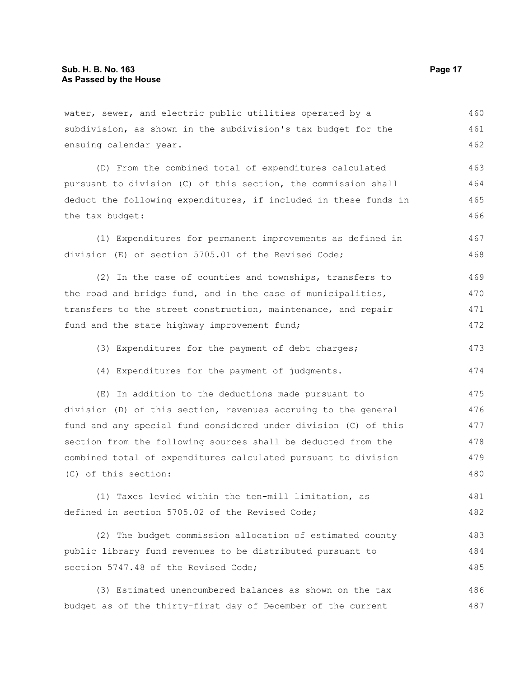water, sewer, and electric public utilities operated by a subdivision, as shown in the subdivision's tax budget for the ensuing calendar year. 460 461 462

(D) From the combined total of expenditures calculated pursuant to division (C) of this section, the commission shall deduct the following expenditures, if included in these funds in the tax budget: 463 464 465 466

(1) Expenditures for permanent improvements as defined in division (E) of section 5705.01 of the Revised Code; 467 468

(2) In the case of counties and townships, transfers to the road and bridge fund, and in the case of municipalities, transfers to the street construction, maintenance, and repair fund and the state highway improvement fund; 469 470 471 472

(3) Expenditures for the payment of debt charges; 473

(4) Expenditures for the payment of judgments.

(E) In addition to the deductions made pursuant to division (D) of this section, revenues accruing to the general fund and any special fund considered under division (C) of this section from the following sources shall be deducted from the combined total of expenditures calculated pursuant to division (C) of this section: 475 476 477 478 479 480

(1) Taxes levied within the ten-mill limitation, as defined in section 5705.02 of the Revised Code; 481 482

(2) The budget commission allocation of estimated county public library fund revenues to be distributed pursuant to section 5747.48 of the Revised Code; 483 484 485

(3) Estimated unencumbered balances as shown on the tax budget as of the thirty-first day of December of the current 486 487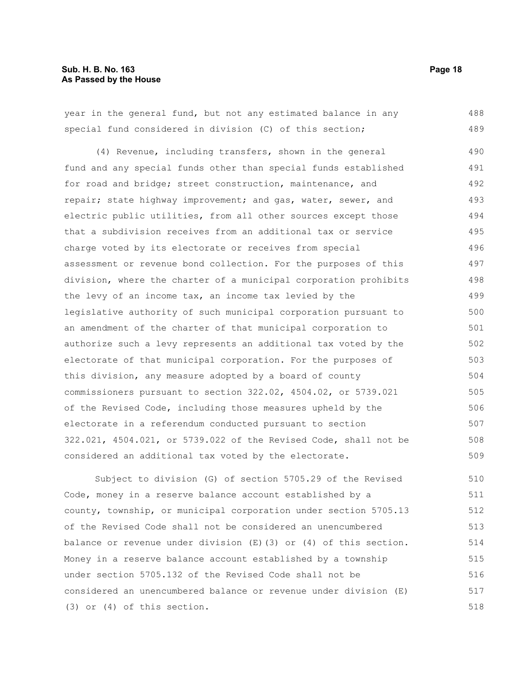| year in the general fund, but not any estimated balance in any   |     |
|------------------------------------------------------------------|-----|
| special fund considered in division (C) of this section;         | 489 |
| (4) Revenue, including transfers, shown in the general           | 490 |
| fund and any special funds other than special funds established  | 491 |
| for road and bridge; street construction, maintenance, and       | 492 |
| repair; state highway improvement; and gas, water, sewer, and    | 493 |
| electric public utilities, from all other sources except those   | 494 |
| that a subdivision receives from an additional tax or service    | 495 |
| charge voted by its electorate or receives from special          | 496 |
| assessment or revenue bond collection. For the purposes of this  | 497 |
| division, where the charter of a municipal corporation prohibits | 498 |
| the levy of an income tax, an income tax levied by the           | 499 |
| legislative authority of such municipal corporation pursuant to  |     |
| an amendment of the charter of that municipal corporation to     | 501 |
| authorize such a levy represents an additional tax voted by the  | 502 |
| electorate of that municipal corporation. For the purposes of    | 503 |
| this division, any measure adopted by a board of county          | 504 |
| commissioners pursuant to section 322.02, 4504.02, or 5739.021   |     |
| of the Revised Code, including those measures upheld by the      |     |
| electorate in a referendum conducted pursuant to section         | 507 |
| 322.021, 4504.021, or 5739.022 of the Revised Code, shall not be |     |
| considered an additional tax voted by the electorate.            | 509 |
| Subject to division (G) of section 5705.29 of the Revised        | 510 |
| Code, money in a reserve balance account established by a        | 511 |

county, township, or municipal corporation under section 5705.13 of the Revised Code shall not be considered an unencumbered balance or revenue under division (E)(3) or (4) of this section. Money in a reserve balance account established by a township under section 5705.132 of the Revised Code shall not be considered an unencumbered balance or revenue under division (E) (3) or (4) of this section. 512 513 514 515 516 517 518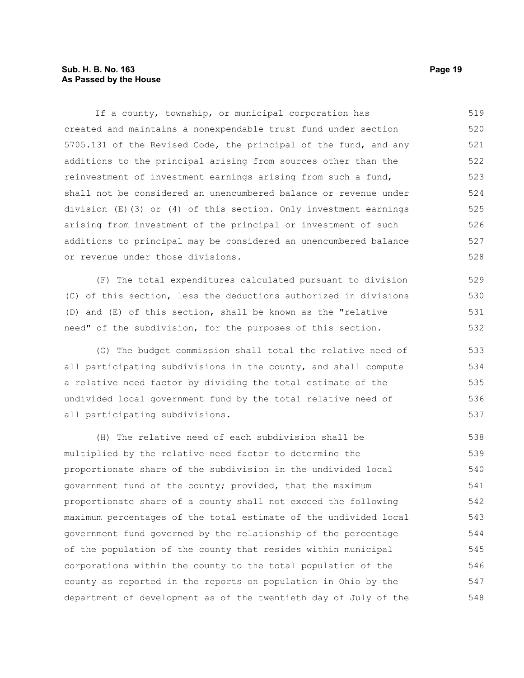#### **Sub. H. B. No. 163 Page 19 As Passed by the House**

If a county, township, or municipal corporation has created and maintains a nonexpendable trust fund under section 5705.131 of the Revised Code, the principal of the fund, and any additions to the principal arising from sources other than the reinvestment of investment earnings arising from such a fund, shall not be considered an unencumbered balance or revenue under division (E)(3) or (4) of this section. Only investment earnings arising from investment of the principal or investment of such additions to principal may be considered an unencumbered balance or revenue under those divisions. 519 520 521 522 523 524 525 526 527 528

(F) The total expenditures calculated pursuant to division (C) of this section, less the deductions authorized in divisions (D) and (E) of this section, shall be known as the "relative need" of the subdivision, for the purposes of this section.

(G) The budget commission shall total the relative need of all participating subdivisions in the county, and shall compute a relative need factor by dividing the total estimate of the undivided local government fund by the total relative need of all participating subdivisions.

(H) The relative need of each subdivision shall be multiplied by the relative need factor to determine the proportionate share of the subdivision in the undivided local government fund of the county; provided, that the maximum proportionate share of a county shall not exceed the following maximum percentages of the total estimate of the undivided local government fund governed by the relationship of the percentage of the population of the county that resides within municipal corporations within the county to the total population of the county as reported in the reports on population in Ohio by the department of development as of the twentieth day of July of the 538 539 540 541 542 543 544 545 546 547 548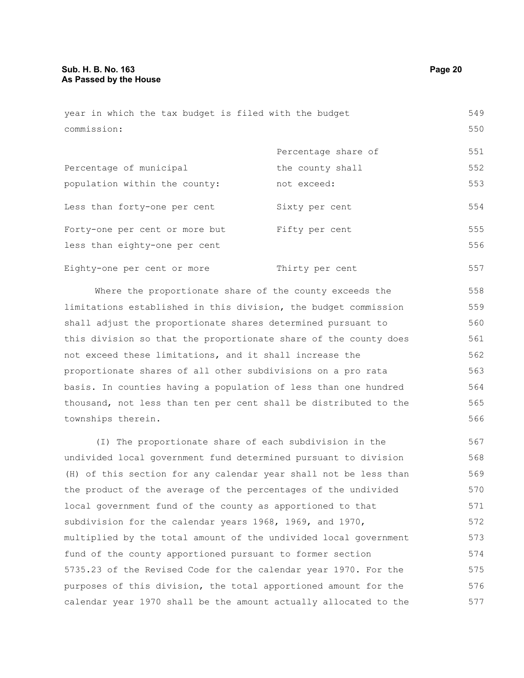| year in which the tax budget is filed with the budget |                     | 549 |
|-------------------------------------------------------|---------------------|-----|
| commission:                                           |                     | 550 |
|                                                       | Percentage share of | 551 |
| Percentage of municipal                               | the county shall    | 552 |
| population within the county:                         | not exceed:         | 553 |

Less than forty-one per cent Sixty per cent Forty-one per cent or more but Fifty per cent less than eighty-one per cent 554 555 556

Eighty-one per cent or more Thirty per cent 557

Where the proportionate share of the county exceeds the limitations established in this division, the budget commission shall adjust the proportionate shares determined pursuant to this division so that the proportionate share of the county does not exceed these limitations, and it shall increase the proportionate shares of all other subdivisions on a pro rata basis. In counties having a population of less than one hundred thousand, not less than ten per cent shall be distributed to the townships therein. 558 559 560 561 562 563 564 565 566

(I) The proportionate share of each subdivision in the undivided local government fund determined pursuant to division (H) of this section for any calendar year shall not be less than the product of the average of the percentages of the undivided local government fund of the county as apportioned to that subdivision for the calendar years 1968, 1969, and 1970, multiplied by the total amount of the undivided local government fund of the county apportioned pursuant to former section 5735.23 of the Revised Code for the calendar year 1970. For the purposes of this division, the total apportioned amount for the calendar year 1970 shall be the amount actually allocated to the 567 568 569 570 571 572 573 574 575 576 577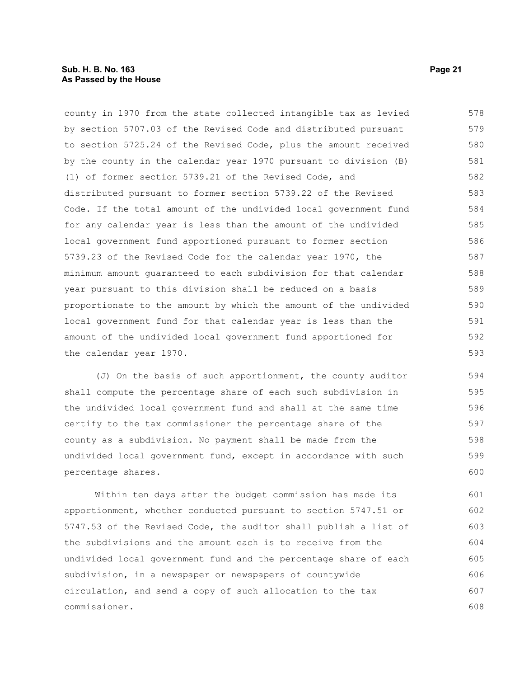county in 1970 from the state collected intangible tax as levied by section 5707.03 of the Revised Code and distributed pursuant to section 5725.24 of the Revised Code, plus the amount received by the county in the calendar year 1970 pursuant to division (B) (1) of former section 5739.21 of the Revised Code, and distributed pursuant to former section 5739.22 of the Revised Code. If the total amount of the undivided local government fund for any calendar year is less than the amount of the undivided local government fund apportioned pursuant to former section 5739.23 of the Revised Code for the calendar year 1970, the minimum amount guaranteed to each subdivision for that calendar year pursuant to this division shall be reduced on a basis proportionate to the amount by which the amount of the undivided local government fund for that calendar year is less than the amount of the undivided local government fund apportioned for the calendar year 1970. 578 579 580 581 582 583 584 585 586 587 588 589 590 591 592 593

(J) On the basis of such apportionment, the county auditor shall compute the percentage share of each such subdivision in the undivided local government fund and shall at the same time certify to the tax commissioner the percentage share of the county as a subdivision. No payment shall be made from the undivided local government fund, except in accordance with such percentage shares. 594 595 596 597 598 599 600

Within ten days after the budget commission has made its apportionment, whether conducted pursuant to section 5747.51 or 5747.53 of the Revised Code, the auditor shall publish a list of the subdivisions and the amount each is to receive from the undivided local government fund and the percentage share of each subdivision, in a newspaper or newspapers of countywide circulation, and send a copy of such allocation to the tax commissioner. 601 602 603 604 605 606 607 608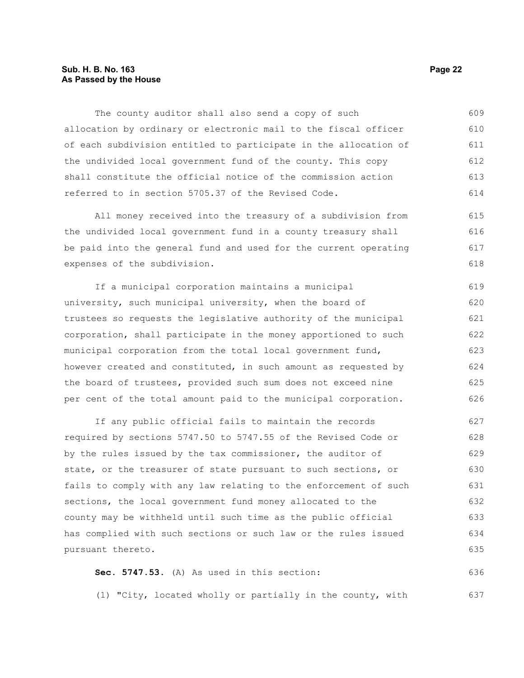#### **Sub. H. B. No. 163 Page 22 As Passed by the House**

The county auditor shall also send a copy of such allocation by ordinary or electronic mail to the fiscal officer of each subdivision entitled to participate in the allocation of the undivided local government fund of the county. This copy shall constitute the official notice of the commission action referred to in section 5705.37 of the Revised Code. 609 610 611 612 613 614

All money received into the treasury of a subdivision from the undivided local government fund in a county treasury shall be paid into the general fund and used for the current operating expenses of the subdivision.

If a municipal corporation maintains a municipal university, such municipal university, when the board of trustees so requests the legislative authority of the municipal corporation, shall participate in the money apportioned to such municipal corporation from the total local government fund, however created and constituted, in such amount as requested by the board of trustees, provided such sum does not exceed nine per cent of the total amount paid to the municipal corporation. 619 620 621 622 623 624 625 626

If any public official fails to maintain the records required by sections 5747.50 to 5747.55 of the Revised Code or by the rules issued by the tax commissioner, the auditor of state, or the treasurer of state pursuant to such sections, or fails to comply with any law relating to the enforcement of such sections, the local government fund money allocated to the county may be withheld until such time as the public official has complied with such sections or such law or the rules issued pursuant thereto. 627 628 629 630 631 632 633 634 635

**Sec. 5747.53.** (A) As used in this section: 636

(1) "City, located wholly or partially in the county, with 637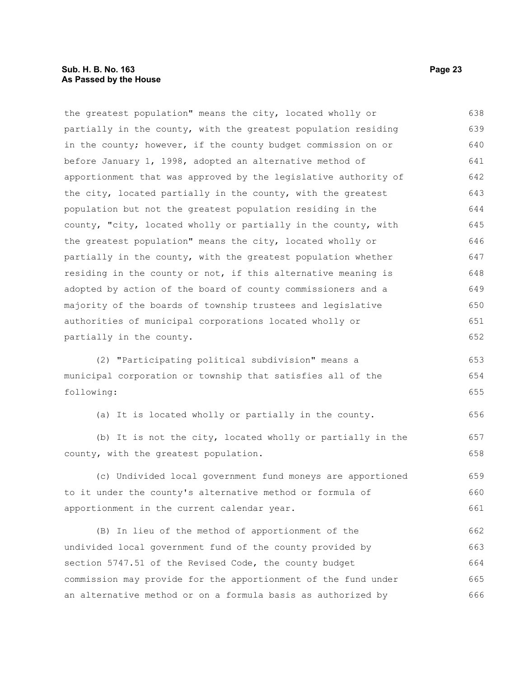the greatest population" means the city, located wholly or partially in the county, with the greatest population residing in the county; however, if the county budget commission on or before January 1, 1998, adopted an alternative method of apportionment that was approved by the legislative authority of the city, located partially in the county, with the greatest population but not the greatest population residing in the county, "city, located wholly or partially in the county, with the greatest population" means the city, located wholly or partially in the county, with the greatest population whether residing in the county or not, if this alternative meaning is adopted by action of the board of county commissioners and a majority of the boards of township trustees and legislative authorities of municipal corporations located wholly or partially in the county. 638 639 640 641 642 643 644 645 646 647 648 649 650 651 652

(2) "Participating political subdivision" means a municipal corporation or township that satisfies all of the following: 653 654 655

(a) It is located wholly or partially in the county. 656

(b) It is not the city, located wholly or partially in the county, with the greatest population.

(c) Undivided local government fund moneys are apportioned to it under the county's alternative method or formula of apportionment in the current calendar year.

(B) In lieu of the method of apportionment of the undivided local government fund of the county provided by section 5747.51 of the Revised Code, the county budget commission may provide for the apportionment of the fund under an alternative method or on a formula basis as authorized by 662 663 664 665 666

657 658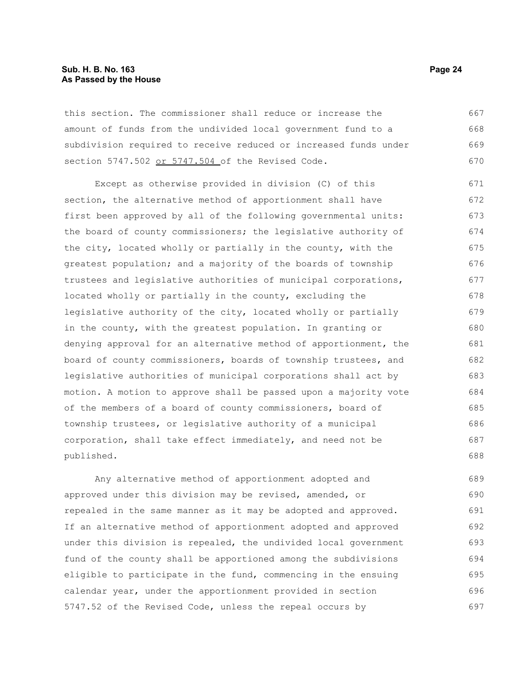#### **Sub. H. B. No. 163 Page 24 As Passed by the House**

this section. The commissioner shall reduce or increase the amount of funds from the undivided local government fund to a subdivision required to receive reduced or increased funds under section 5747.502 or 5747.504 of the Revised Code. 667 668 669 670

Except as otherwise provided in division (C) of this section, the alternative method of apportionment shall have first been approved by all of the following governmental units: the board of county commissioners; the legislative authority of the city, located wholly or partially in the county, with the greatest population; and a majority of the boards of township trustees and legislative authorities of municipal corporations, located wholly or partially in the county, excluding the legislative authority of the city, located wholly or partially in the county, with the greatest population. In granting or denying approval for an alternative method of apportionment, the board of county commissioners, boards of township trustees, and legislative authorities of municipal corporations shall act by motion. A motion to approve shall be passed upon a majority vote of the members of a board of county commissioners, board of township trustees, or legislative authority of a municipal corporation, shall take effect immediately, and need not be published. 671 672 673 674 675 676 677 678 679 680 681 682 683 684 685 686 687 688

Any alternative method of apportionment adopted and approved under this division may be revised, amended, or repealed in the same manner as it may be adopted and approved. If an alternative method of apportionment adopted and approved under this division is repealed, the undivided local government fund of the county shall be apportioned among the subdivisions eligible to participate in the fund, commencing in the ensuing calendar year, under the apportionment provided in section 5747.52 of the Revised Code, unless the repeal occurs by 689 690 691 692 693 694 695 696 697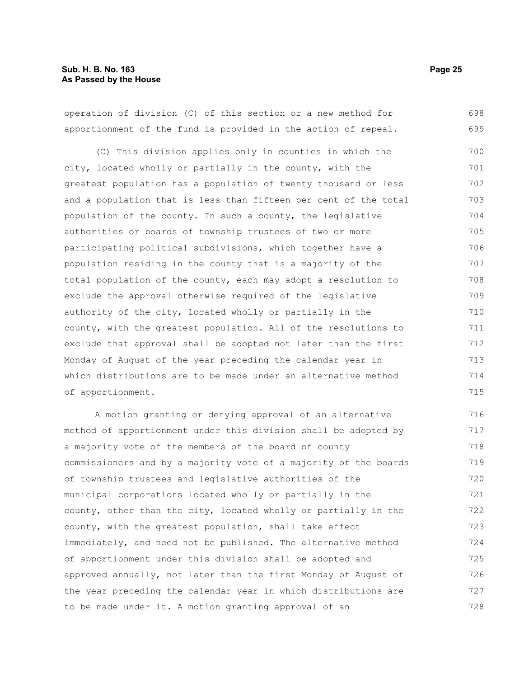operation of division (C) of this section or a new method for apportionment of the fund is provided in the action of repeal. 698 699

(C) This division applies only in counties in which the city, located wholly or partially in the county, with the greatest population has a population of twenty thousand or less and a population that is less than fifteen per cent of the total population of the county. In such a county, the legislative authorities or boards of township trustees of two or more participating political subdivisions, which together have a population residing in the county that is a majority of the total population of the county, each may adopt a resolution to exclude the approval otherwise required of the legislative authority of the city, located wholly or partially in the county, with the greatest population. All of the resolutions to exclude that approval shall be adopted not later than the first Monday of August of the year preceding the calendar year in which distributions are to be made under an alternative method of apportionment. 700 701 702 703 704 705 706 707 708 709 710 711 712 713 714 715

A motion granting or denying approval of an alternative method of apportionment under this division shall be adopted by a majority vote of the members of the board of county commissioners and by a majority vote of a majority of the boards of township trustees and legislative authorities of the municipal corporations located wholly or partially in the county, other than the city, located wholly or partially in the county, with the greatest population, shall take effect immediately, and need not be published. The alternative method of apportionment under this division shall be adopted and approved annually, not later than the first Monday of August of the year preceding the calendar year in which distributions are to be made under it. A motion granting approval of an 716 717 718 719 720 721 722 723 724 725 726 727 728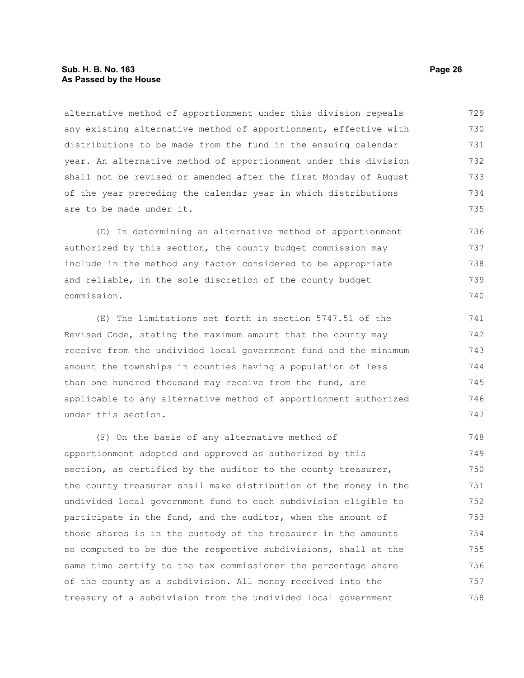#### **Sub. H. B. No. 163 Page 26 As Passed by the House**

alternative method of apportionment under this division repeals any existing alternative method of apportionment, effective with distributions to be made from the fund in the ensuing calendar year. An alternative method of apportionment under this division shall not be revised or amended after the first Monday of August of the year preceding the calendar year in which distributions are to be made under it. 729 730 731 732 733 734 735

(D) In determining an alternative method of apportionment authorized by this section, the county budget commission may include in the method any factor considered to be appropriate and reliable, in the sole discretion of the county budget commission. 736 737 738 739 740

(E) The limitations set forth in section 5747.51 of the Revised Code, stating the maximum amount that the county may receive from the undivided local government fund and the minimum amount the townships in counties having a population of less than one hundred thousand may receive from the fund, are applicable to any alternative method of apportionment authorized under this section. 741 742 743 744 745 746 747

(F) On the basis of any alternative method of apportionment adopted and approved as authorized by this section, as certified by the auditor to the county treasurer, the county treasurer shall make distribution of the money in the undivided local government fund to each subdivision eligible to participate in the fund, and the auditor, when the amount of those shares is in the custody of the treasurer in the amounts so computed to be due the respective subdivisions, shall at the same time certify to the tax commissioner the percentage share of the county as a subdivision. All money received into the treasury of a subdivision from the undivided local government 748 749 750 751 752 753 754 755 756 757 758